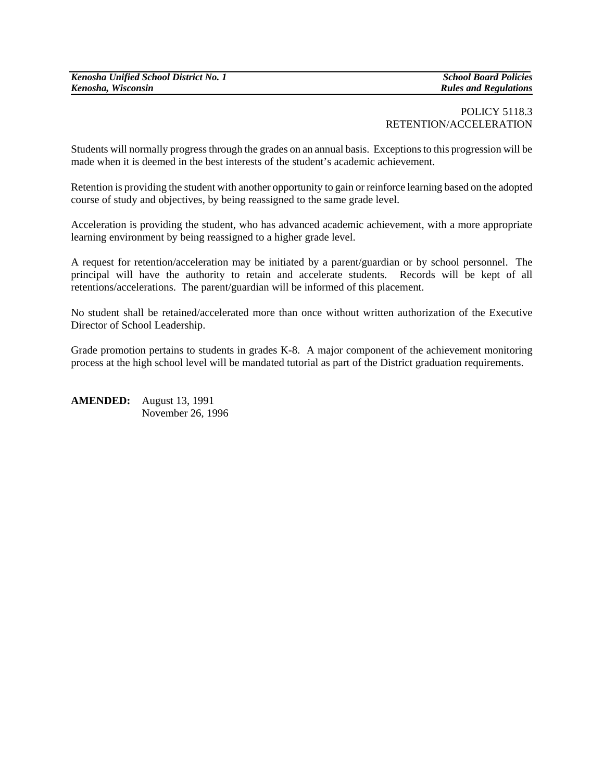# POLICY 5118.3 RETENTION/ACCELERATION

Students will normally progress through the grades on an annual basis. Exceptions to this progression will be made when it is deemed in the best interests of the student's academic achievement.

Retention is providing the student with another opportunity to gain or reinforce learning based on the adopted course of study and objectives, by being reassigned to the same grade level.

Acceleration is providing the student, who has advanced academic achievement, with a more appropriate learning environment by being reassigned to a higher grade level.

A request for retention/acceleration may be initiated by a parent/guardian or by school personnel. The principal will have the authority to retain and accelerate students. Records will be kept of all retentions/accelerations. The parent/guardian will be informed of this placement.

No student shall be retained/accelerated more than once without written authorization of the Executive Director of School Leadership.

Grade promotion pertains to students in grades K-8. A major component of the achievement monitoring process at the high school level will be mandated tutorial as part of the District graduation requirements.

**AMENDED:** August 13, 1991 November 26, 1996